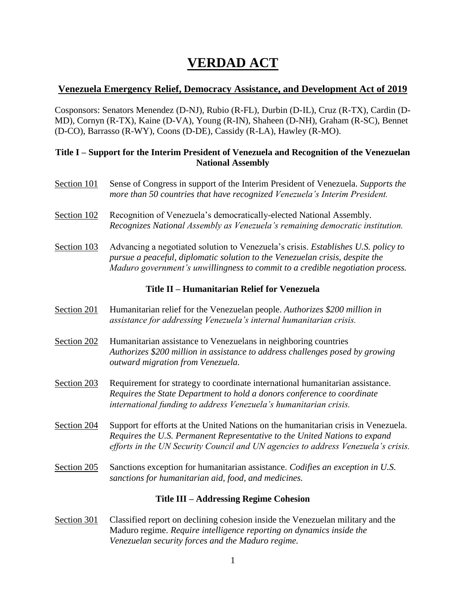# **VERDAD ACT**

# **Venezuela Emergency Relief, Democracy Assistance, and Development Act of 2019**

Cosponsors: Senators Menendez (D-NJ), Rubio (R-FL), Durbin (D-IL), Cruz (R-TX), Cardin (D-MD), Cornyn (R-TX), Kaine (D-VA), Young (R-IN), Shaheen (D-NH), Graham (R-SC), Bennet (D-CO), Barrasso (R-WY), Coons (D-DE), Cassidy (R-LA), Hawley (R-MO).

## **Title I – Support for the Interim President of Venezuela and Recognition of the Venezuelan National Assembly**

- Section 101 Sense of Congress in support of the Interim President of Venezuela. *Supports the more than 50 countries that have recognized Venezuela's Interim President.*
- Section 102 Recognition of Venezuela's democratically-elected National Assembly. *Recognizes National Assembly as Venezuela's remaining democratic institution.*
- Section 103 Advancing a negotiated solution to Venezuela's crisis. *Establishes U.S. policy to pursue a peaceful, diplomatic solution to the Venezuelan crisis, despite the Maduro government's unwillingness to commit to a credible negotiation process.*

## **Title II – Humanitarian Relief for Venezuela**

- Section 201 Humanitarian relief for the Venezuelan people. *Authorizes \$200 million in assistance for addressing Venezuela's internal humanitarian crisis.*
- Section 202 Humanitarian assistance to Venezuelans in neighboring countries *Authorizes \$200 million in assistance to address challenges posed by growing outward migration from Venezuela.*
- Section 203 Requirement for strategy to coordinate international humanitarian assistance. *Requires the State Department to hold a donors conference to coordinate international funding to address Venezuela's humanitarian crisis.*
- Section 204 Support for efforts at the United Nations on the humanitarian crisis in Venezuela. *Requires the U.S. Permanent Representative to the United Nations to expand efforts in the UN Security Council and UN agencies to address Venezuela's crisis.*
- Section 205 Sanctions exception for humanitarian assistance. *Codifies an exception in U.S. sanctions for humanitarian aid, food, and medicines.*

# **Title III – Addressing Regime Cohesion**

Section 301 Classified report on declining cohesion inside the Venezuelan military and the Maduro regime. *Require intelligence reporting on dynamics inside the Venezuelan security forces and the Maduro regime.*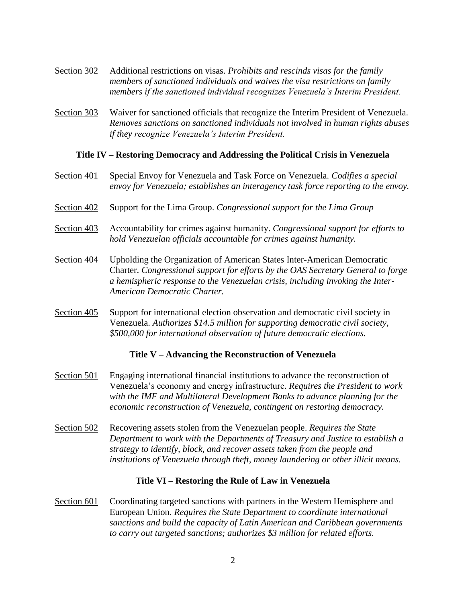- Section 302 Additional restrictions on visas. *Prohibits and rescinds visas for the family members of sanctioned individuals and waives the visa restrictions on family members if the sanctioned individual recognizes Venezuela's Interim President.*
- Section 303 Waiver for sanctioned officials that recognize the Interim President of Venezuela. *Removes sanctions on sanctioned individuals not involved in human rights abuses if they recognize Venezuela's Interim President.*

#### **Title IV – Restoring Democracy and Addressing the Political Crisis in Venezuela**

- Section 401 Special Envoy for Venezuela and Task Force on Venezuela. *Codifies a special envoy for Venezuela; establishes an interagency task force reporting to the envoy.*
- Section 402 Support for the Lima Group. *Congressional support for the Lima Group*
- Section 403 Accountability for crimes against humanity. *Congressional support for efforts to hold Venezuelan officials accountable for crimes against humanity.*
- Section 404 Upholding the Organization of American States Inter-American Democratic Charter. *Congressional support for efforts by the OAS Secretary General to forge a hemispheric response to the Venezuelan crisis, including invoking the Inter-American Democratic Charter.*
- Section 405 Support for international election observation and democratic civil society in Venezuela. *Authorizes \$14.5 million for supporting democratic civil society, \$500,000 for international observation of future democratic elections.*

#### **Title V – Advancing the Reconstruction of Venezuela**

- Section 501 Engaging international financial institutions to advance the reconstruction of Venezuela's economy and energy infrastructure. *Requires the President to work with the IMF and Multilateral Development Banks to advance planning for the economic reconstruction of Venezuela, contingent on restoring democracy.*
- Section 502 Recovering assets stolen from the Venezuelan people. *Requires the State Department to work with the Departments of Treasury and Justice to establish a strategy to identify, block, and recover assets taken from the people and institutions of Venezuela through theft, money laundering or other illicit means.*

#### **Title VI – Restoring the Rule of Law in Venezuela**

Section 601 Coordinating targeted sanctions with partners in the Western Hemisphere and European Union. *Requires the State Department to coordinate international sanctions and build the capacity of Latin American and Caribbean governments to carry out targeted sanctions; authorizes \$3 million for related efforts.*